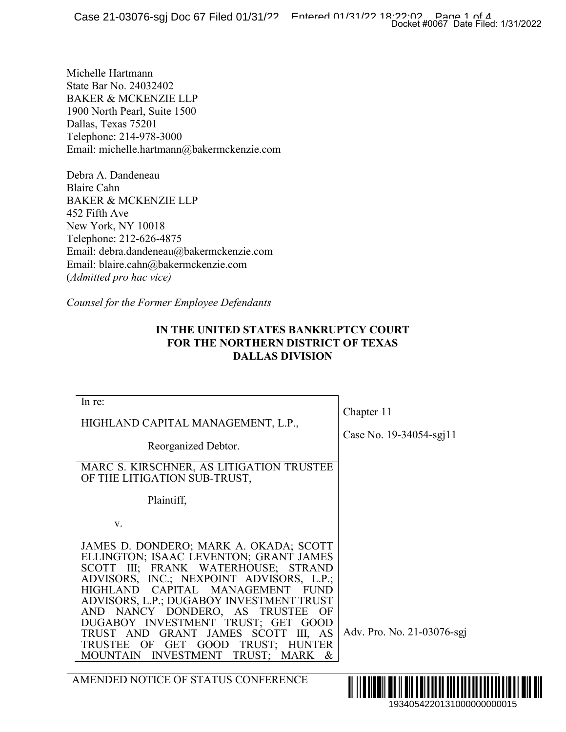## **IN THE UNITED STATES BANKRUPTCY COURT FOR THE NORTHERN DISTRICT OF TEXAS DALLAS DIVISION**

|                                                                                                                                                                                                                                                                                                                                                                                                                                                                                             | Docket #0067 Date Filed: 1/31/2022    |
|---------------------------------------------------------------------------------------------------------------------------------------------------------------------------------------------------------------------------------------------------------------------------------------------------------------------------------------------------------------------------------------------------------------------------------------------------------------------------------------------|---------------------------------------|
| ichelle Hartmann<br>tate Bar No. 24032402<br>AKER & MCKENZIE LLP<br>900 North Pearl, Suite 1500<br>)allas, Texas 75201<br>elephone: 214-978-3000<br>mail: michelle.hartmann@bakermckenzie.com                                                                                                                                                                                                                                                                                               |                                       |
| Pebra A. Dandeneau<br>Iaire Cahn<br>AKER & MCKENZIE LLP<br>52 Fifth Ave<br>Jew York, NY 10018<br>elephone: 212-626-4875<br>mail: debra.dandeneau@bakermckenzie.com<br>mail: blaire.cahn@bakermckenzie.com<br>Admitted pro hac vice)                                                                                                                                                                                                                                                         |                                       |
| Counsel for the Former Employee Defendants<br>IN THE UNITED STATES BANKRUPTCY COURT<br>FOR THE NORTHERN DISTRICT OF TEXAS<br><b>DALLAS DIVISION</b>                                                                                                                                                                                                                                                                                                                                         |                                       |
| In re:<br>HIGHLAND CAPITAL MANAGEMENT, L.P.,<br>Reorganized Debtor.<br>MARC S. KIRSCHNER, AS LITIGATION TRUSTEE<br>OF THE LITIGATION SUB-TRUST,<br>Plaintiff,                                                                                                                                                                                                                                                                                                                               | Chapter 11<br>Case No. 19-34054-sgj11 |
| V.<br>JAMES D. DONDERO; MARK A. OKADA; SCOTT<br>ELLINGTON; ISAAC LEVENTON; GRANT JAMES<br>SCOTT III; FRANK WATERHOUSE; STRAND<br>ADVISORS, INC.; NEXPOINT ADVISORS, L.P.;<br>CAPITAL MANAGEMENT<br><b>HIGHLAND</b><br><b>FUND</b><br>ADVISORS, L.P.; DUGABOY INVESTMENT TRUST<br>AND NANCY DONDERO, AS<br><b>TRUSTEE</b><br>OF<br>DUGABOY INVESTMENT TRUST; GET GOOD<br>TRUST AND GRANT JAMES SCOTT III, AS<br>TRUST; HUNTER<br>TRUSTEE OF GET GOOD<br>MOUNTAIN INVESTMENT<br>TRUST; MARK & | Adv. Pro. No. 21-03076-sgj            |
| AMENDED NOTICE OF STATUS CONFERENCE                                                                                                                                                                                                                                                                                                                                                                                                                                                         | ∭∭<br>1934054220131000000000015       |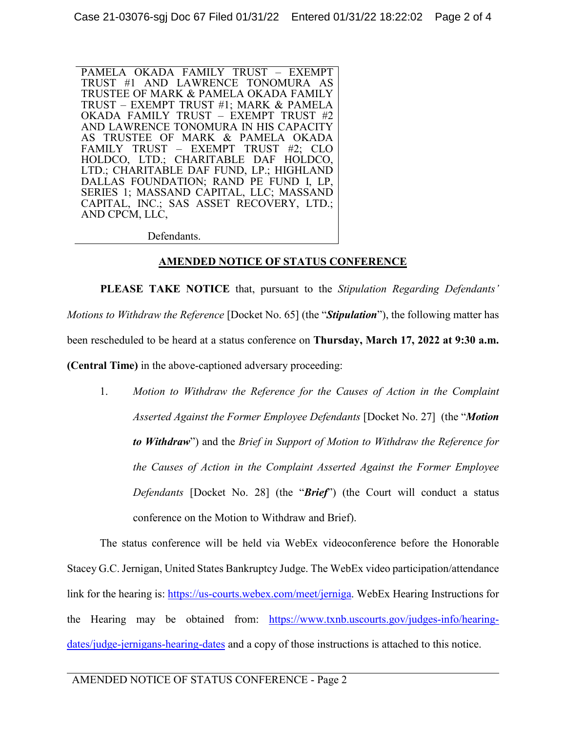PAMELA OKADA FAMILY TRUST – EXEMPT TRUST #1 AND LAWRENCE TONOMURA AS TRUSTEE OF MARK & PAMELA OKADA FAMILY TRUST – EXEMPT TRUST #1; MARK & PAMELA OKADA FAMILY TRUST – EXEMPT TRUST #2 AND LAWRENCE TONOMURA IN HIS CAPACITY AS TRUSTEE OF MARK & PAMELA OKADA FAMILY TRUST – EXEMPT TRUST #2; CLO HOLDCO, LTD.; CHARITABLE DAF HOLDCO, LTD.; CHARITABLE DAF FUND, LP.; HIGHLAND DALLAS FOUNDATION; RAND PE FUND I, LP, SERIES 1; MASSAND CAPITAL, LLC; MASSAND CAPITAL, INC.; SAS ASSET RECOVERY, LTD.; AND CPCM, LLC,

Defendants.

## **AMENDED NOTICE OF STATUS CONFERENCE**

**PLEASE TAKE NOTICE** that, pursuant to the *Stipulation Regarding Defendants' Motions to Withdraw the Reference* [Docket No. 65] (the "*Stipulation*"), the following matter has been rescheduled to be heard at a status conference on **Thursday, March 17, 2022 at 9:30 a.m. (Central Time)** in the above-captioned adversary proceeding:

1. *Motion to Withdraw the Reference for the Causes of Action in the Complaint Asserted Against the Former Employee Defendants* [Docket No. 27] (the "*Motion to Withdraw*") and the *Brief in Support of Motion to Withdraw the Reference for the Causes of Action in the Complaint Asserted Against the Former Employee Defendants* [Docket No. 28] (the "*Brief*") (the Court will conduct a status conference on the Motion to Withdraw and Brief).

The status conference will be held via WebEx videoconference before the Honorable Stacey G.C. Jernigan, United States Bankruptcy Judge. The WebEx video participation/attendance link for the hearing is: https://us-courts.webex.com/meet/jerniga. WebEx Hearing Instructions for the Hearing may be obtained from: https://www.txnb.uscourts.gov/judges-info/hearingdates/judge-jernigans-hearing-dates and a copy of those instructions is attached to this notice.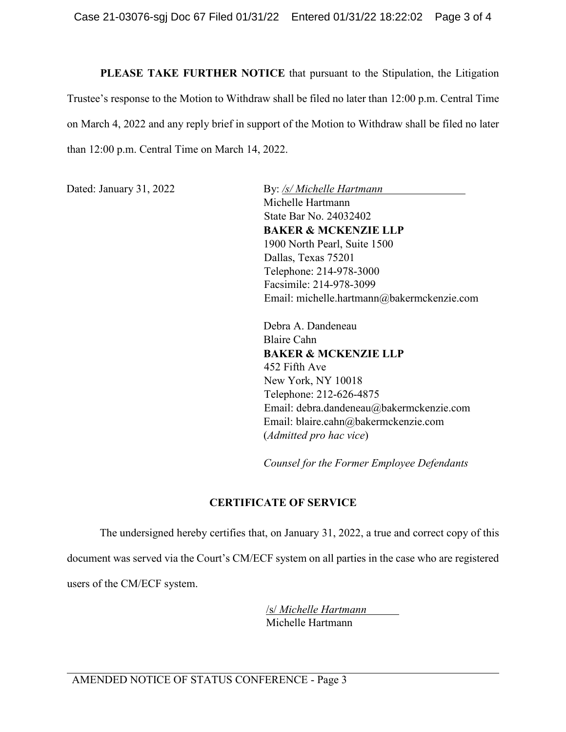**PLEASE TAKE FURTHER NOTICE** that pursuant to the Stipulation, the Litigation Trustee's response to the Motion to Withdraw shall be filed no later than 12:00 p.m. Central Time on March 4, 2022 and any reply brief in support of the Motion to Withdraw shall be filed no later than 12:00 p.m. Central Time on March 14, 2022.

Dated: January 31, 2022 By: */s/ Michelle Hartmann* Michelle Hartmann State Bar No. 24032402 **BAKER & MCKENZIE LLP** 1900 North Pearl, Suite 1500 Dallas, Texas 75201 Telephone: 214-978-3000 Facsimile: 214-978-3099 Email: michelle.hartmann@bakermckenzie.com

> Debra A. Dandeneau Blaire Cahn **BAKER & MCKENZIE LLP** 452 Fifth Ave New York, NY 10018 Telephone: 212-626-4875 Email: debra.dandeneau@bakermckenzie.com Email: blaire.cahn@bakermckenzie.com (*Admitted pro hac vice*)

*Counsel for the Former Employee Defendants* 

# **CERTIFICATE OF SERVICE**

The undersigned hereby certifies that, on January 31, 2022, a true and correct copy of this document was served via the Court's CM/ECF system on all parties in the case who are registered users of the CM/ECF system.

> /s/ *Michelle Hartmann* Michelle Hartmann